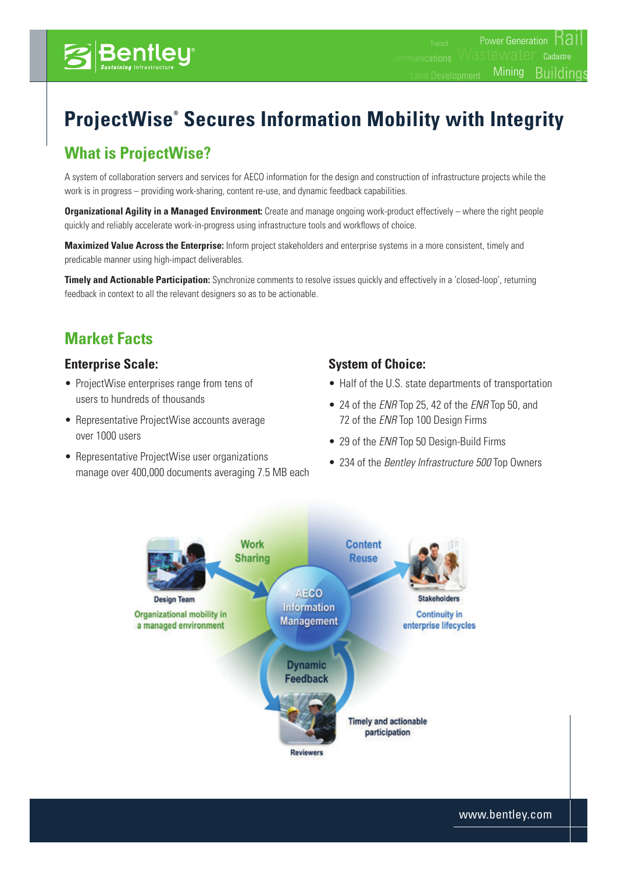# **What is ProjectWise?**

Bentley

A system of collaboration servers and services for AECO information for the design and construction of infrastructure projects while the work is in progress – providing work-sharing, content re-use, and dynamic feedback capabilities.

**Organizational Agility in a Managed Environment:** Create and manage ongoing work-product effectively – where the right people quickly and reliably accelerate work-in-progress using infrastructure tools and workflows of choice.

**Maximized Value Across the Enterprise:** Inform project stakeholders and enterprise systems in a more consistent, timely and predicable manner using high-impact deliverables.

**Timely and Actionable Participation:** Synchronize comments to resolve issues quickly and effectively in a 'closed-loop', returning feedback in context to all the relevant designers so as to be actionable.

# **Market Facts**

#### **Enterprise Scale:**

- ProjectWise enterprises range from tens of users to hundreds of thousands
- Representative ProjectWise accounts average over 1000 users
- Representative ProjectWise user organizations manage over 400,000 documents averaging 7.5 MB each

#### **System of Choice:**

• Half of the U.S. state departments of transportation

Mining

**Cadastre** 

**Buildings** 

- • 24 of the *ENR* Top 25, 42 of the *ENR* Top 50, and 72 of the *ENR* Top 100 Design Firms
- 29 of the *ENR* Top 50 Design-Build Firms
- • 234 of the *Bentley Infrastructure 500* Top Owners